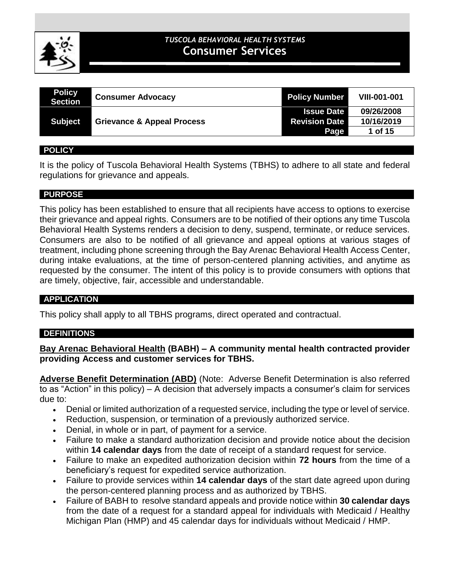

# **CLINICAL POLICIES** *TUSCOLA BEHAVIORAL HEALTH SYSTEMS* **Consumer Services**

| <b>Policy</b><br><b>Section</b> | <b>Consumer Advocacy</b>              | <b>Policy Number</b> | <b>VIII-001-001</b> |
|---------------------------------|---------------------------------------|----------------------|---------------------|
|                                 |                                       | <b>Issue Date</b>    | 09/26/2008          |
| <b>Subject</b>                  | <b>Grievance &amp; Appeal Process</b> | <b>Revision Date</b> | 10/16/2019          |
|                                 |                                       | Page                 | 1 of 15             |

#### **POLICY**

It is the policy of Tuscola Behavioral Health Systems (TBHS) to adhere to all state and federal regulations for grievance and appeals.

### **PURPOSE**

This policy has been established to ensure that all recipients have access to options to exercise their grievance and appeal rights. Consumers are to be notified of their options any time Tuscola Behavioral Health Systems renders a decision to deny, suspend, terminate, or reduce services. Consumers are also to be notified of all grievance and appeal options at various stages of treatment, including phone screening through the Bay Arenac Behavioral Health Access Center, during intake evaluations, at the time of person-centered planning activities, and anytime as requested by the consumer. The intent of this policy is to provide consumers with options that are timely, objective, fair, accessible and understandable.

### **APPLICATION**

This policy shall apply to all TBHS programs, direct operated and contractual.

### **DEFINITIONS**

**Bay Arenac Behavioral Health (BABH) – A community mental health contracted provider providing Access and customer services for TBHS.**

**Adverse Benefit Determination (ABD)** (Note: Adverse Benefit Determination is also referred to as "Action" in this policy) – A decision that adversely impacts a consumer's claim for services due to:

- Denial or limited authorization of a requested service, including the type or level of service.
- Reduction, suspension, or termination of a previously authorized service.
- Denial, in whole or in part, of payment for a service.
- Failure to make a standard authorization decision and provide notice about the decision within **14 calendar days** from the date of receipt of a standard request for service.
- Failure to make an expedited authorization decision within **72 hours** from the time of a beneficiary's request for expedited service authorization.
- Failure to provide services within **14 calendar days** of the start date agreed upon during the person-centered planning process and as authorized by TBHS.
- Failure of BABH to resolve standard appeals and provide notice within **30 calendar days** from the date of a request for a standard appeal for individuals with Medicaid / Healthy Michigan Plan (HMP) and 45 calendar days for individuals without Medicaid / HMP.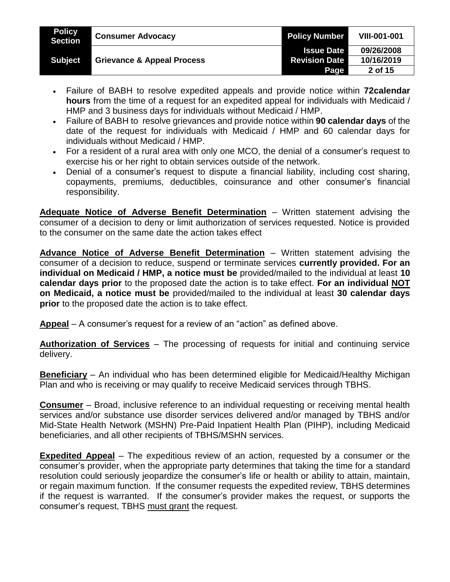| <b>Policy</b><br><b>Section</b> | <b>Consumer Advocacy</b>              | <b>Policy Number</b> | <b>VIII-001-001</b> |
|---------------------------------|---------------------------------------|----------------------|---------------------|
|                                 |                                       | <b>Issue Date</b>    | 09/26/2008          |
| <b>Subject</b>                  | <b>Grievance &amp; Appeal Process</b> | <b>Revision Date</b> | 10/16/2019          |
|                                 |                                       | <b>Page</b>          | 2 of 15             |

- Failure of BABH to resolve expedited appeals and provide notice within **72calendar hours** from the time of a request for an expedited appeal for individuals with Medicaid / HMP and 3 business days for individuals without Medicaid / HMP.
- Failure of BABH to resolve grievances and provide notice within **90 calendar days** of the date of the request for individuals with Medicaid / HMP and 60 calendar days for individuals without Medicaid / HMP.
- For a resident of a rural area with only one MCO, the denial of a consumer's request to exercise his or her right to obtain services outside of the network.
- Denial of a consumer's request to dispute a financial liability, including cost sharing, copayments, premiums, deductibles, coinsurance and other consumer's financial responsibility.

**Adequate Notice of Adverse Benefit Determination** – Written statement advising the consumer of a decision to deny or limit authorization of services requested. Notice is provided to the consumer on the same date the action takes effect

**Advance Notice of Adverse Benefit Determination** – Written statement advising the consumer of a decision to reduce, suspend or terminate services **currently provided. For an individual on Medicaid / HMP, a notice must be** provided/mailed to the individual at least **10 calendar days prior** to the proposed date the action is to take effect. **For an individual NOT on Medicaid, a notice must be** provided/mailed to the individual at least **30 calendar days prior** to the proposed date the action is to take effect.

**Appeal** – A consumer's request for a review of an "action" as defined above.

**Authorization of Services** – The processing of requests for initial and continuing service delivery.

**Beneficiary** – An individual who has been determined eligible for Medicaid/Healthy Michigan Plan and who is receiving or may qualify to receive Medicaid services through TBHS.

**Consumer** – Broad, inclusive reference to an individual requesting or receiving mental health services and/or substance use disorder services delivered and/or managed by TBHS and/or Mid-State Health Network (MSHN) Pre-Paid Inpatient Health Plan (PIHP), including Medicaid beneficiaries, and all other recipients of TBHS/MSHN services.

**Expedited Appeal** – The expeditious review of an action, requested by a consumer or the consumer's provider, when the appropriate party determines that taking the time for a standard resolution could seriously jeopardize the consumer's life or health or ability to attain, maintain, or regain maximum function. If the consumer requests the expedited review, TBHS determines if the request is warranted. If the consumer's provider makes the request, or supports the consumer's request, TBHS must grant the request.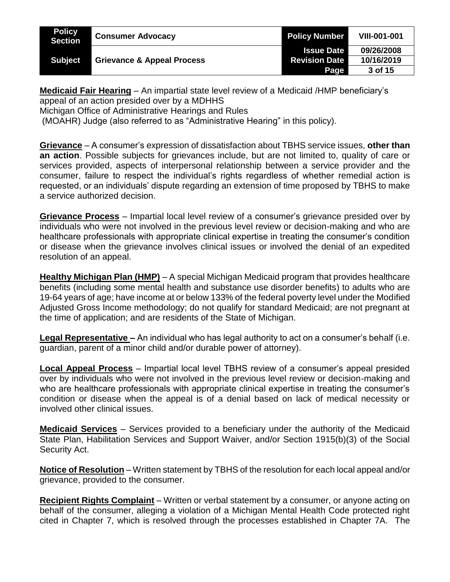| <b>Policy</b><br><b>Section</b> | <b>Consumer Advocacy</b>              | <b>Policy Number</b> | <b>VIII-001-001</b> |
|---------------------------------|---------------------------------------|----------------------|---------------------|
|                                 |                                       | <b>Issue Date</b>    | 09/26/2008          |
| <b>Subject</b>                  | <b>Grievance &amp; Appeal Process</b> | <b>Revision Date</b> | 10/16/2019          |
|                                 |                                       | Page                 | 3 of 15             |

**Medicaid Fair Hearing** – An impartial state level review of a Medicaid /HMP beneficiary's appeal of an action presided over by a MDHHS

Michigan Office of Administrative Hearings and Rules

(MOAHR) Judge (also referred to as "Administrative Hearing" in this policy).

**Grievance** – A consumer's expression of dissatisfaction about TBHS service issues, **other than an action**. Possible subjects for grievances include, but are not limited to, quality of care or services provided, aspects of interpersonal relationship between a service provider and the consumer, failure to respect the individual's rights regardless of whether remedial action is requested, or an individuals' dispute regarding an extension of time proposed by TBHS to make a service authorized decision.

**Grievance Process** – Impartial local level review of a consumer's grievance presided over by individuals who were not involved in the previous level review or decision-making and who are healthcare professionals with appropriate clinical expertise in treating the consumer's condition or disease when the grievance involves clinical issues or involved the denial of an expedited resolution of an appeal.

**Healthy Michigan Plan (HMP)** – A special Michigan Medicaid program that provides healthcare benefits (including some mental health and substance use disorder benefits) to adults who are 19-64 years of age; have income at or below 133% of the federal poverty level under the Modified Adjusted Gross Income methodology; do not qualify for standard Medicaid; are not pregnant at the time of application; and are residents of the State of Michigan.

**Legal Representative –** An individual who has legal authority to act on a consumer's behalf (i.e. guardian, parent of a minor child and/or durable power of attorney).

**Local Appeal Process** – Impartial local level TBHS review of a consumer's appeal presided over by individuals who were not involved in the previous level review or decision-making and who are healthcare professionals with appropriate clinical expertise in treating the consumer's condition or disease when the appeal is of a denial based on lack of medical necessity or involved other clinical issues.

**Medicaid Services** – Services provided to a beneficiary under the authority of the Medicaid State Plan, Habilitation Services and Support Waiver, and/or Section 1915(b)(3) of the Social Security Act.

**Notice of Resolution** – Written statement by TBHS of the resolution for each local appeal and/or grievance, provided to the consumer.

**Recipient Rights Complaint** – Written or verbal statement by a consumer, or anyone acting on behalf of the consumer, alleging a violation of a Michigan Mental Health Code protected right cited in Chapter 7, which is resolved through the processes established in Chapter 7A. The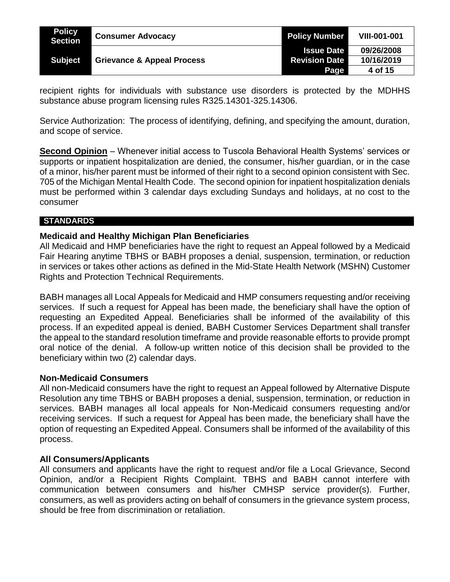| <b>Policy</b><br><b>Section</b> | <b>Consumer Advocacy</b>              | <b>Policy Number</b> | <b>VIII-001-001</b> |
|---------------------------------|---------------------------------------|----------------------|---------------------|
|                                 |                                       | <b>Issue Date</b>    | 09/26/2008          |
| <b>Subject</b>                  | <b>Grievance &amp; Appeal Process</b> | <b>Revision Date</b> | 10/16/2019          |
|                                 |                                       | Page                 | 4 of 15             |

recipient rights for individuals with substance use disorders is protected by the MDHHS substance abuse program licensing rules R325.14301-325.14306.

Service Authorization: The process of identifying, defining, and specifying the amount, duration, and scope of service.

**Second Opinion** – Whenever initial access to Tuscola Behavioral Health Systems' services or supports or inpatient hospitalization are denied, the consumer, his/her guardian, or in the case of a minor, his/her parent must be informed of their right to a second opinion consistent with Sec. 705 of the Michigan Mental Health Code. The second opinion for inpatient hospitalization denials must be performed within 3 calendar days excluding Sundays and holidays, at no cost to the consumer

### **STANDARDS**

#### **Medicaid and Healthy Michigan Plan Beneficiaries**

All Medicaid and HMP beneficiaries have the right to request an Appeal followed by a Medicaid Fair Hearing anytime TBHS or BABH proposes a denial, suspension, termination, or reduction in services or takes other actions as defined in the Mid-State Health Network (MSHN) Customer Rights and Protection Technical Requirements.

BABH manages all Local Appeals for Medicaid and HMP consumers requesting and/or receiving services. If such a request for Appeal has been made, the beneficiary shall have the option of requesting an Expedited Appeal. Beneficiaries shall be informed of the availability of this process. If an expedited appeal is denied, BABH Customer Services Department shall transfer the appeal to the standard resolution timeframe and provide reasonable efforts to provide prompt oral notice of the denial. A follow-up written notice of this decision shall be provided to the beneficiary within two (2) calendar days.

#### **Non-Medicaid Consumers**

All non-Medicaid consumers have the right to request an Appeal followed by Alternative Dispute Resolution any time TBHS or BABH proposes a denial, suspension, termination, or reduction in services. BABH manages all local appeals for Non-Medicaid consumers requesting and/or receiving services. If such a request for Appeal has been made, the beneficiary shall have the option of requesting an Expedited Appeal. Consumers shall be informed of the availability of this process.

#### **All Consumers/Applicants**

All consumers and applicants have the right to request and/or file a Local Grievance, Second Opinion, and/or a Recipient Rights Complaint. TBHS and BABH cannot interfere with communication between consumers and his/her CMHSP service provider(s). Further, consumers, as well as providers acting on behalf of consumers in the grievance system process, should be free from discrimination or retaliation.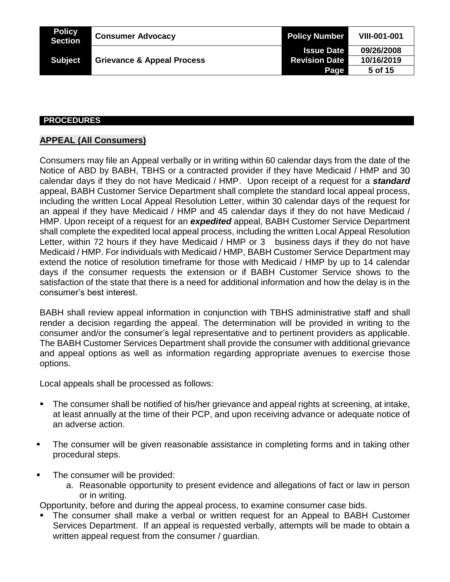| <b>Policy</b><br><b>Section</b> | <b>Consumer Advocacy</b>              | <b>Policy Number</b> | <b>VIII-001-001</b> |
|---------------------------------|---------------------------------------|----------------------|---------------------|
|                                 |                                       | <b>Issue Date</b>    | 09/26/2008          |
| <b>Subject</b>                  | <b>Grievance &amp; Appeal Process</b> | <b>Revision Date</b> | 10/16/2019          |
|                                 |                                       | Page                 | 5 of 15             |

#### **PROCEDURES**

# **APPEAL (All Consumers)**

Consumers may file an Appeal verbally or in writing within 60 calendar days from the date of the Notice of ABD by BABH, TBHS or a contracted provider if they have Medicaid / HMP and 30 calendar days if they do not have Medicaid / HMP. Upon receipt of a request for a *standard* appeal, BABH Customer Service Department shall complete the standard local appeal process, including the written Local Appeal Resolution Letter, within 30 calendar days of the request for an appeal if they have Medicaid / HMP and 45 calendar days if they do not have Medicaid / HMP. Upon receipt of a request for an *expedited* appeal, BABH Customer Service Department shall complete the expedited local appeal process, including the written Local Appeal Resolution Letter, within 72 hours if they have Medicaid / HMP or 3 business days if they do not have Medicaid / HMP. For individuals with Medicaid / HMP, BABH Customer Service Department may extend the notice of resolution timeframe for those with Medicaid / HMP by up to 14 calendar days if the consumer requests the extension or if BABH Customer Service shows to the satisfaction of the state that there is a need for additional information and how the delay is in the consumer's best interest.

BABH shall review appeal information in conjunction with TBHS administrative staff and shall render a decision regarding the appeal. The determination will be provided in writing to the consumer and/or the consumer's legal representative and to pertinent providers as applicable. The BABH Customer Services Department shall provide the consumer with additional grievance and appeal options as well as information regarding appropriate avenues to exercise those options.

Local appeals shall be processed as follows:

- The consumer shall be notified of his/her grievance and appeal rights at screening, at intake, at least annually at the time of their PCP, and upon receiving advance or adequate notice of an adverse action.
- The consumer will be given reasonable assistance in completing forms and in taking other procedural steps.
- The consumer will be provided:
	- a. Reasonable opportunity to present evidence and allegations of fact or law in person or in writing.

Opportunity, before and during the appeal process, to examine consumer case bids.

 The consumer shall make a verbal or written request for an Appeal to BABH Customer Services Department. If an appeal is requested verbally, attempts will be made to obtain a written appeal request from the consumer / guardian.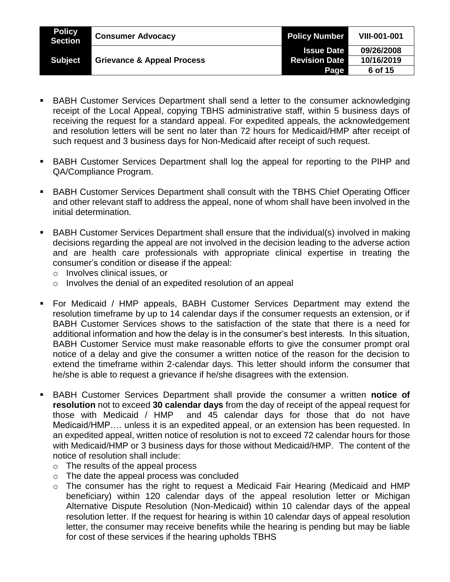| <b>Policy</b><br>Section | <b>Consumer Advocacy</b>              | <b>Policy Number</b> | <b>VIII-001-001</b> |
|--------------------------|---------------------------------------|----------------------|---------------------|
|                          |                                       | <b>Issue Date</b>    | 09/26/2008          |
| <b>Subject</b>           | <b>Grievance &amp; Appeal Process</b> | <b>Revision Date</b> | 10/16/2019          |
|                          |                                       | Page                 | 6 of 15             |

- BABH Customer Services Department shall send a letter to the consumer acknowledging receipt of the Local Appeal, copying TBHS administrative staff, within 5 business days of receiving the request for a standard appeal. For expedited appeals, the acknowledgement and resolution letters will be sent no later than 72 hours for Medicaid/HMP after receipt of such request and 3 business days for Non-Medicaid after receipt of such request.
- BABH Customer Services Department shall log the appeal for reporting to the PIHP and QA/Compliance Program.
- BABH Customer Services Department shall consult with the TBHS Chief Operating Officer and other relevant staff to address the appeal, none of whom shall have been involved in the initial determination.
- BABH Customer Services Department shall ensure that the individual(s) involved in making decisions regarding the appeal are not involved in the decision leading to the adverse action and are health care professionals with appropriate clinical expertise in treating the consumer's condition or disease if the appeal:
	- o Involves clinical issues, or
	- o Involves the denial of an expedited resolution of an appeal
- For Medicaid / HMP appeals, BABH Customer Services Department may extend the resolution timeframe by up to 14 calendar days if the consumer requests an extension, or if BABH Customer Services shows to the satisfaction of the state that there is a need for additional information and how the delay is in the consumer's best interests. In this situation, BABH Customer Service must make reasonable efforts to give the consumer prompt oral notice of a delay and give the consumer a written notice of the reason for the decision to extend the timeframe within 2-calendar days. This letter should inform the consumer that he/she is able to request a grievance if he/she disagrees with the extension.
- BABH Customer Services Department shall provide the consumer a written **notice of resolution** not to exceed **30 calendar days** from the day of receipt of the appeal request for those with Medicaid / HMP and 45 calendar days for those that do not have Medicaid/HMP…. unless it is an expedited appeal, or an extension has been requested. In an expedited appeal, written notice of resolution is not to exceed 72 calendar hours for those with Medicaid/HMP or 3 business days for those without Medicaid/HMP. The content of the notice of resolution shall include:
	- o The results of the appeal process
	- o The date the appeal process was concluded
	- o The consumer has the right to request a Medicaid Fair Hearing (Medicaid and HMP beneficiary) within 120 calendar days of the appeal resolution letter or Michigan Alternative Dispute Resolution (Non-Medicaid) within 10 calendar days of the appeal resolution letter. If the request for hearing is within 10 calendar days of appeal resolution letter, the consumer may receive benefits while the hearing is pending but may be liable for cost of these services if the hearing upholds TBHS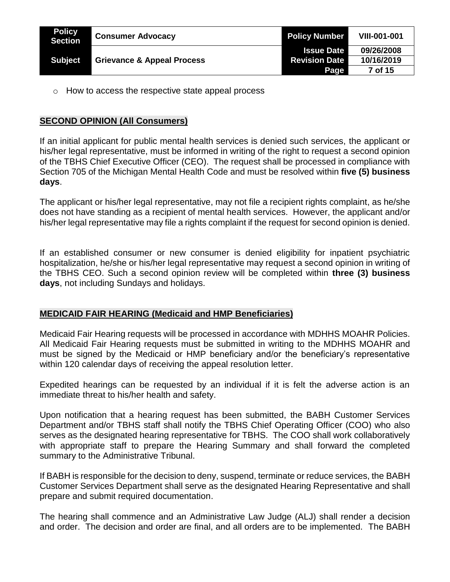| <b>Policy</b><br>Section | <b>Consumer Advocacy</b>              | <b>Policy Number</b> | <b>VIII-001-001</b> |
|--------------------------|---------------------------------------|----------------------|---------------------|
|                          |                                       | <b>Issue Date</b>    | 09/26/2008          |
| <b>Subject</b>           | <b>Grievance &amp; Appeal Process</b> | <b>Revision Date</b> | 10/16/2019          |
|                          |                                       | Page                 | 7 of 15             |

o How to access the respective state appeal process

# **SECOND OPINION (All Consumers)**

If an initial applicant for public mental health services is denied such services, the applicant or his/her legal representative, must be informed in writing of the right to request a second opinion of the TBHS Chief Executive Officer (CEO). The request shall be processed in compliance with Section 705 of the Michigan Mental Health Code and must be resolved within **five (5) business days**.

The applicant or his/her legal representative, may not file a recipient rights complaint, as he/she does not have standing as a recipient of mental health services. However, the applicant and/or his/her legal representative may file a rights complaint if the request for second opinion is denied.

If an established consumer or new consumer is denied eligibility for inpatient psychiatric hospitalization, he/she or his/her legal representative may request a second opinion in writing of the TBHS CEO. Such a second opinion review will be completed within **three (3) business days**, not including Sundays and holidays.

### **MEDICAID FAIR HEARING (Medicaid and HMP Beneficiaries)**

Medicaid Fair Hearing requests will be processed in accordance with MDHHS MOAHR Policies. All Medicaid Fair Hearing requests must be submitted in writing to the MDHHS MOAHR and must be signed by the Medicaid or HMP beneficiary and/or the beneficiary's representative within 120 calendar days of receiving the appeal resolution letter.

Expedited hearings can be requested by an individual if it is felt the adverse action is an immediate threat to his/her health and safety.

Upon notification that a hearing request has been submitted, the BABH Customer Services Department and/or TBHS staff shall notify the TBHS Chief Operating Officer (COO) who also serves as the designated hearing representative for TBHS. The COO shall work collaboratively with appropriate staff to prepare the Hearing Summary and shall forward the completed summary to the Administrative Tribunal.

If BABH is responsible for the decision to deny, suspend, terminate or reduce services, the BABH Customer Services Department shall serve as the designated Hearing Representative and shall prepare and submit required documentation.

The hearing shall commence and an Administrative Law Judge (ALJ) shall render a decision and order. The decision and order are final, and all orders are to be implemented. The BABH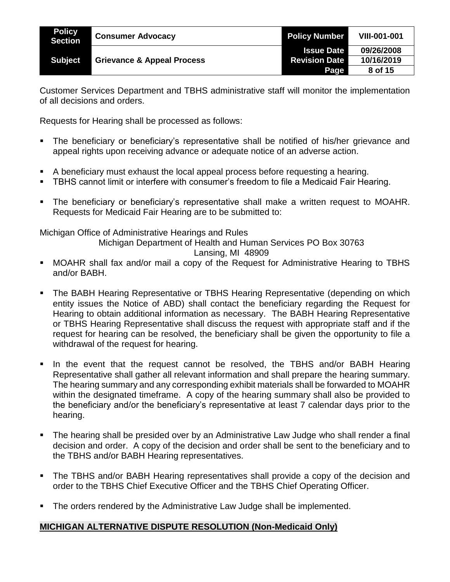| <b>Policy</b><br><b>Section</b> | <b>Consumer Advocacy</b>              | <b>Policy Number</b> | <b>VIII-001-001</b> |
|---------------------------------|---------------------------------------|----------------------|---------------------|
|                                 |                                       | <b>Issue Date</b>    | 09/26/2008          |
| <b>Subject</b>                  | <b>Grievance &amp; Appeal Process</b> | <b>Revision Date</b> | 10/16/2019          |
|                                 |                                       | Page                 | 8 of 15             |

Customer Services Department and TBHS administrative staff will monitor the implementation of all decisions and orders.

Requests for Hearing shall be processed as follows:

- The beneficiary or beneficiary's representative shall be notified of his/her grievance and appeal rights upon receiving advance or adequate notice of an adverse action.
- A beneficiary must exhaust the local appeal process before requesting a hearing.
- TBHS cannot limit or interfere with consumer's freedom to file a Medicaid Fair Hearing.
- The beneficiary or beneficiary's representative shall make a written request to MOAHR. Requests for Medicaid Fair Hearing are to be submitted to:

Michigan Office of Administrative Hearings and Rules

Michigan Department of Health and Human Services PO Box 30763

#### Lansing, MI 48909

- MOAHR shall fax and/or mail a copy of the Request for Administrative Hearing to TBHS and/or BABH.
- **The BABH Hearing Representative or TBHS Hearing Representative (depending on which** entity issues the Notice of ABD) shall contact the beneficiary regarding the Request for Hearing to obtain additional information as necessary. The BABH Hearing Representative or TBHS Hearing Representative shall discuss the request with appropriate staff and if the request for hearing can be resolved, the beneficiary shall be given the opportunity to file a withdrawal of the request for hearing.
- In the event that the request cannot be resolved, the TBHS and/or BABH Hearing Representative shall gather all relevant information and shall prepare the hearing summary. The hearing summary and any corresponding exhibit materials shall be forwarded to MOAHR within the designated timeframe. A copy of the hearing summary shall also be provided to the beneficiary and/or the beneficiary's representative at least 7 calendar days prior to the hearing.
- The hearing shall be presided over by an Administrative Law Judge who shall render a final decision and order. A copy of the decision and order shall be sent to the beneficiary and to the TBHS and/or BABH Hearing representatives.
- The TBHS and/or BABH Hearing representatives shall provide a copy of the decision and order to the TBHS Chief Executive Officer and the TBHS Chief Operating Officer.
- The orders rendered by the Administrative Law Judge shall be implemented.

# **MICHIGAN ALTERNATIVE DISPUTE RESOLUTION (Non-Medicaid Only)**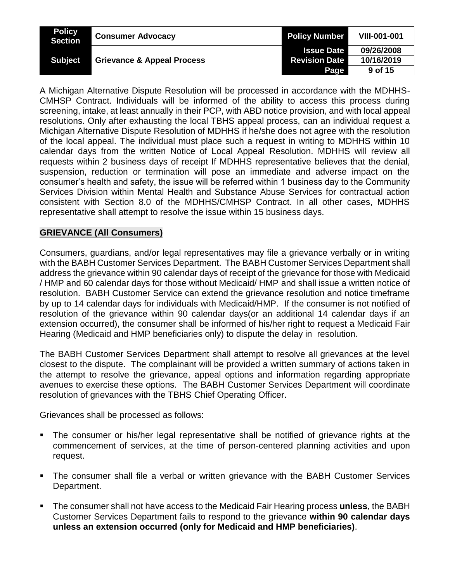| <b>Policy</b><br><b>Section</b> | <b>Consumer Advocacy</b>              | <b>Policy Number</b> | <b>VIII-001-001</b> |
|---------------------------------|---------------------------------------|----------------------|---------------------|
|                                 |                                       | <b>Issue Date</b>    | 09/26/2008          |
| <b>Subject</b>                  | <b>Grievance &amp; Appeal Process</b> | <b>Revision Date</b> | 10/16/2019          |
|                                 |                                       | Page                 | 9 of 15             |

A Michigan Alternative Dispute Resolution will be processed in accordance with the MDHHS-CMHSP Contract. Individuals will be informed of the ability to access this process during screening, intake, at least annually in their PCP, with ABD notice provision, and with local appeal resolutions. Only after exhausting the local TBHS appeal process, can an individual request a Michigan Alternative Dispute Resolution of MDHHS if he/she does not agree with the resolution of the local appeal. The individual must place such a request in writing to MDHHS within 10 calendar days from the written Notice of Local Appeal Resolution. MDHHS will review all requests within 2 business days of receipt If MDHHS representative believes that the denial, suspension, reduction or termination will pose an immediate and adverse impact on the consumer's health and safety, the issue will be referred within 1 business day to the Community Services Division within Mental Health and Substance Abuse Services for contractual action consistent with Section 8.0 of the MDHHS/CMHSP Contract. In all other cases, MDHHS representative shall attempt to resolve the issue within 15 business days.

# **GRIEVANCE (All Consumers)**

Consumers, guardians, and/or legal representatives may file a grievance verbally or in writing with the BABH Customer Services Department. The BABH Customer Services Department shall address the grievance within 90 calendar days of receipt of the grievance for those with Medicaid / HMP and 60 calendar days for those without Medicaid/ HMP and shall issue a written notice of resolution. BABH Customer Service can extend the grievance resolution and notice timeframe by up to 14 calendar days for individuals with Medicaid/HMP. If the consumer is not notified of resolution of the grievance within 90 calendar days(or an additional 14 calendar days if an extension occurred), the consumer shall be informed of his/her right to request a Medicaid Fair Hearing (Medicaid and HMP beneficiaries only) to dispute the delay in resolution.

The BABH Customer Services Department shall attempt to resolve all grievances at the level closest to the dispute. The complainant will be provided a written summary of actions taken in the attempt to resolve the grievance, appeal options and information regarding appropriate avenues to exercise these options. The BABH Customer Services Department will coordinate resolution of grievances with the TBHS Chief Operating Officer.

Grievances shall be processed as follows:

- The consumer or his/her legal representative shall be notified of grievance rights at the commencement of services, at the time of person-centered planning activities and upon request.
- The consumer shall file a verbal or written grievance with the BABH Customer Services Department.
- The consumer shall not have access to the Medicaid Fair Hearing process **unless**, the BABH Customer Services Department fails to respond to the grievance **within 90 calendar days unless an extension occurred (only for Medicaid and HMP beneficiaries)**.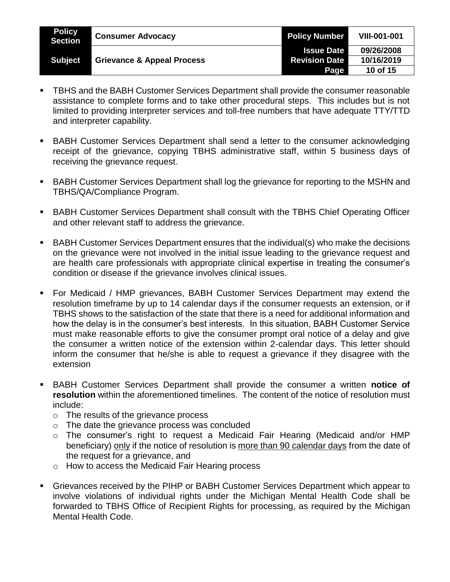| <b>Policy</b><br><b>Section</b> | <b>Consumer Advocacy</b>              | <b>Policy Number</b> | <b>VIII-001-001</b> |
|---------------------------------|---------------------------------------|----------------------|---------------------|
|                                 |                                       | <b>Issue Date</b>    | 09/26/2008          |
| <b>Subject</b>                  | <b>Grievance &amp; Appeal Process</b> | <b>Revision Date</b> | 10/16/2019          |
|                                 |                                       | Page                 | 10 of 15            |

- TBHS and the BABH Customer Services Department shall provide the consumer reasonable assistance to complete forms and to take other procedural steps. This includes but is not limited to providing interpreter services and toll-free numbers that have adequate TTY/TTD and interpreter capability.
- **BABH Customer Services Department shall send a letter to the consumer acknowledging** receipt of the grievance, copying TBHS administrative staff, within 5 business days of receiving the grievance request.
- BABH Customer Services Department shall log the grievance for reporting to the MSHN and TBHS/QA/Compliance Program.
- BABH Customer Services Department shall consult with the TBHS Chief Operating Officer and other relevant staff to address the grievance.
- BABH Customer Services Department ensures that the individual(s) who make the decisions on the grievance were not involved in the initial issue leading to the grievance request and are health care professionals with appropriate clinical expertise in treating the consumer's condition or disease if the grievance involves clinical issues.
- For Medicaid / HMP grievances, BABH Customer Services Department may extend the resolution timeframe by up to 14 calendar days if the consumer requests an extension, or if TBHS shows to the satisfaction of the state that there is a need for additional information and how the delay is in the consumer's best interests. In this situation, BABH Customer Service must make reasonable efforts to give the consumer prompt oral notice of a delay and give the consumer a written notice of the extension within 2-calendar days. This letter should inform the consumer that he/she is able to request a grievance if they disagree with the extension
- BABH Customer Services Department shall provide the consumer a written **notice of resolution** within the aforementioned timelines. The content of the notice of resolution must include:
	- o The results of the grievance process
	- o The date the grievance process was concluded
	- o The consumer's right to request a Medicaid Fair Hearing (Medicaid and/or HMP beneficiary) only if the notice of resolution is more than 90 calendar days from the date of the request for a grievance, and
	- o How to access the Medicaid Fair Hearing process
- Grievances received by the PIHP or BABH Customer Services Department which appear to involve violations of individual rights under the Michigan Mental Health Code shall be forwarded to TBHS Office of Recipient Rights for processing, as required by the Michigan Mental Health Code.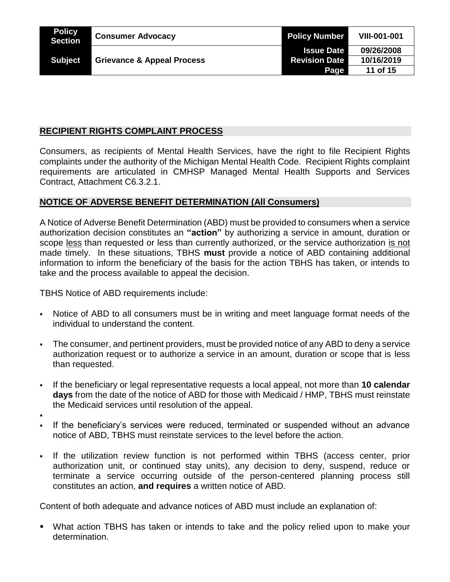| <b>Policy</b><br>Section | <b>Consumer Advocacy</b>              | <b>Policy Number</b> | <b>VIII-001-001</b> |
|--------------------------|---------------------------------------|----------------------|---------------------|
|                          |                                       | <b>Issue Date</b>    | 09/26/2008          |
| <b>Subject</b>           | <b>Grievance &amp; Appeal Process</b> | <b>Revision Date</b> | 10/16/2019          |
|                          |                                       | Page                 | 11 of 15            |

# **RECIPIENT RIGHTS COMPLAINT PROCESS**

Consumers, as recipients of Mental Health Services, have the right to file Recipient Rights complaints under the authority of the Michigan Mental Health Code. Recipient Rights complaint requirements are articulated in CMHSP Managed Mental Health Supports and Services Contract, Attachment C6.3.2.1.

# **NOTICE OF ADVERSE BENEFIT DETERMINATION (All Consumers)**

A Notice of Adverse Benefit Determination (ABD) must be provided to consumers when a service authorization decision constitutes an **"action"** by authorizing a service in amount, duration or scope less than requested or less than currently authorized, or the service authorization is not made timely. In these situations, TBHS **must** provide a notice of ABD containing additional information to inform the beneficiary of the basis for the action TBHS has taken, or intends to take and the process available to appeal the decision.

TBHS Notice of ABD requirements include:

- Notice of ABD to all consumers must be in writing and meet language format needs of the individual to understand the content.
- The consumer, and pertinent providers, must be provided notice of any ABD to deny a service authorization request or to authorize a service in an amount, duration or scope that is less than requested.
- If the beneficiary or legal representative requests a local appeal, not more than **10 calendar days** from the date of the notice of ABD for those with Medicaid / HMP, TBHS must reinstate the Medicaid services until resolution of the appeal.
- .
- If the beneficiary's services were reduced, terminated or suspended without an advance notice of ABD, TBHS must reinstate services to the level before the action.
- If the utilization review function is not performed within TBHS (access center, prior authorization unit, or continued stay units), any decision to deny, suspend, reduce or terminate a service occurring outside of the person-centered planning process still constitutes an action, **and requires** a written notice of ABD.

Content of both adequate and advance notices of ABD must include an explanation of:

 What action TBHS has taken or intends to take and the policy relied upon to make your determination.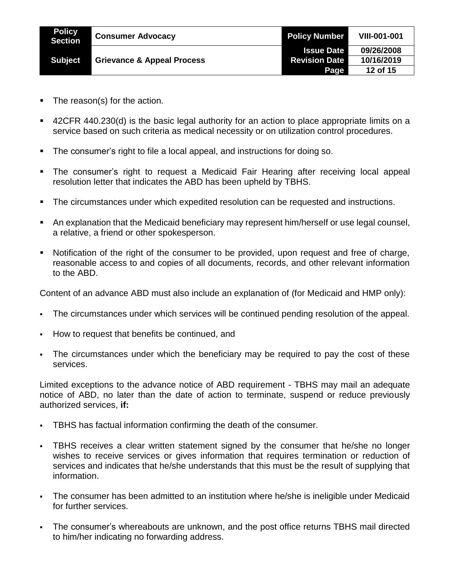| <b>Policy</b><br>Section | <b>Consumer Advocacy</b>              | <b>Policy Number</b> | <b>VIII-001-001</b> |
|--------------------------|---------------------------------------|----------------------|---------------------|
|                          |                                       | <b>Issue Date</b>    | 09/26/2008          |
| <b>Subject</b>           | <b>Grievance &amp; Appeal Process</b> | <b>Revision Date</b> | 10/16/2019          |
|                          |                                       | Page                 | 12 of 15            |

- The reason(s) for the action.
- 42CFR 440.230(d) is the basic legal authority for an action to place appropriate limits on a service based on such criteria as medical necessity or on utilization control procedures.
- **The consumer's right to file a local appeal, and instructions for doing so.**
- The consumer's right to request a Medicaid Fair Hearing after receiving local appeal resolution letter that indicates the ABD has been upheld by TBHS.
- **The circumstances under which expedited resolution can be requested and instructions.**
- An explanation that the Medicaid beneficiary may represent him/herself or use legal counsel, a relative, a friend or other spokesperson.
- Notification of the right of the consumer to be provided, upon request and free of charge, reasonable access to and copies of all documents, records, and other relevant information to the ABD.

Content of an advance ABD must also include an explanation of (for Medicaid and HMP only):

- The circumstances under which services will be continued pending resolution of the appeal.
- How to request that benefits be continued, and
- The circumstances under which the beneficiary may be required to pay the cost of these services.

Limited exceptions to the advance notice of ABD requirement - TBHS may mail an adequate notice of ABD, no later than the date of action to terminate, suspend or reduce previously authorized services, **if:**

- TBHS has factual information confirming the death of the consumer.
- TBHS receives a clear written statement signed by the consumer that he/she no longer wishes to receive services or gives information that requires termination or reduction of services and indicates that he/she understands that this must be the result of supplying that information.
- The consumer has been admitted to an institution where he/she is ineligible under Medicaid for further services.
- The consumer's whereabouts are unknown, and the post office returns TBHS mail directed to him/her indicating no forwarding address.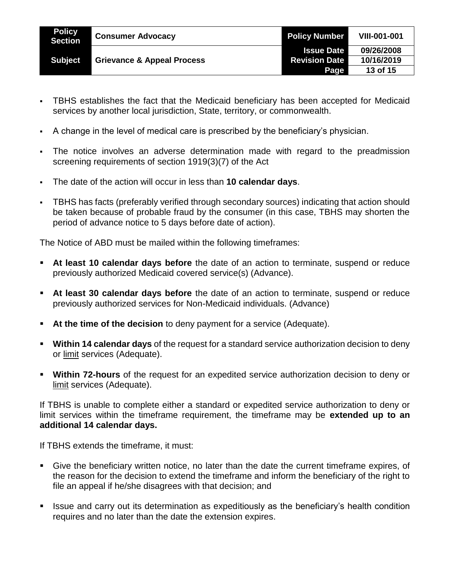| <b>Policy</b><br><b>Section</b> | <b>Consumer Advocacy</b>              | <b>Policy Number</b> | <b>VIII-001-001</b> |
|---------------------------------|---------------------------------------|----------------------|---------------------|
| <b>Subject</b>                  | <b>Grievance &amp; Appeal Process</b> | <b>Issue Date</b>    | 09/26/2008          |
|                                 |                                       | <b>Revision Date</b> | 10/16/2019          |
|                                 |                                       | <b>Page</b>          | 13 of 15            |

- TBHS establishes the fact that the Medicaid beneficiary has been accepted for Medicaid services by another local jurisdiction, State, territory, or commonwealth.
- A change in the level of medical care is prescribed by the beneficiary's physician.
- The notice involves an adverse determination made with regard to the preadmission screening requirements of section 1919(3)(7) of the Act
- The date of the action will occur in less than **10 calendar days**.
- TBHS has facts (preferably verified through secondary sources) indicating that action should be taken because of probable fraud by the consumer (in this case, TBHS may shorten the period of advance notice to 5 days before date of action).

The Notice of ABD must be mailed within the following timeframes:

- **At least 10 calendar days before** the date of an action to terminate, suspend or reduce previously authorized Medicaid covered service(s) (Advance).
- **At least 30 calendar days before** the date of an action to terminate, suspend or reduce previously authorized services for Non-Medicaid individuals. (Advance)
- **At the time of the decision** to deny payment for a service (Adequate).
- **Within 14 calendar days** of the request for a standard service authorization decision to deny or limit services (Adequate).
- **Within 72-hours** of the request for an expedited service authorization decision to deny or limit services (Adequate).

If TBHS is unable to complete either a standard or expedited service authorization to deny or limit services within the timeframe requirement, the timeframe may be **extended up to an additional 14 calendar days.**

If TBHS extends the timeframe, it must:

- Give the beneficiary written notice, no later than the date the current timeframe expires, of the reason for the decision to extend the timeframe and inform the beneficiary of the right to file an appeal if he/she disagrees with that decision; and
- **If Its and carry out its determination as expeditiously as the beneficiary's health condition** requires and no later than the date the extension expires.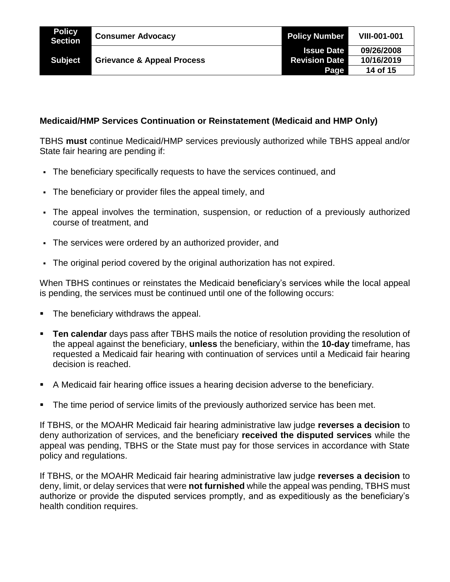# **Medicaid/HMP Services Continuation or Reinstatement (Medicaid and HMP Only)**

TBHS **must** continue Medicaid/HMP services previously authorized while TBHS appeal and/or State fair hearing are pending if:

- The beneficiary specifically requests to have the services continued, and
- The beneficiary or provider files the appeal timely, and
- The appeal involves the termination, suspension, or reduction of a previously authorized course of treatment, and
- The services were ordered by an authorized provider, and
- The original period covered by the original authorization has not expired.

When TBHS continues or reinstates the Medicaid beneficiary's services while the local appeal is pending, the services must be continued until one of the following occurs:

- **The beneficiary withdraws the appeal.**
- **Ten calendar** days pass after TBHS mails the notice of resolution providing the resolution of the appeal against the beneficiary, **unless** the beneficiary, within the **10-day** timeframe, has requested a Medicaid fair hearing with continuation of services until a Medicaid fair hearing decision is reached.
- A Medicaid fair hearing office issues a hearing decision adverse to the beneficiary.
- The time period of service limits of the previously authorized service has been met.

If TBHS, or the MOAHR Medicaid fair hearing administrative law judge **reverses a decision** to deny authorization of services, and the beneficiary **received the disputed services** while the appeal was pending, TBHS or the State must pay for those services in accordance with State policy and regulations.

If TBHS, or the MOAHR Medicaid fair hearing administrative law judge **reverses a decision** to deny, limit, or delay services that were **not furnished** while the appeal was pending, TBHS must authorize or provide the disputed services promptly, and as expeditiously as the beneficiary's health condition requires.